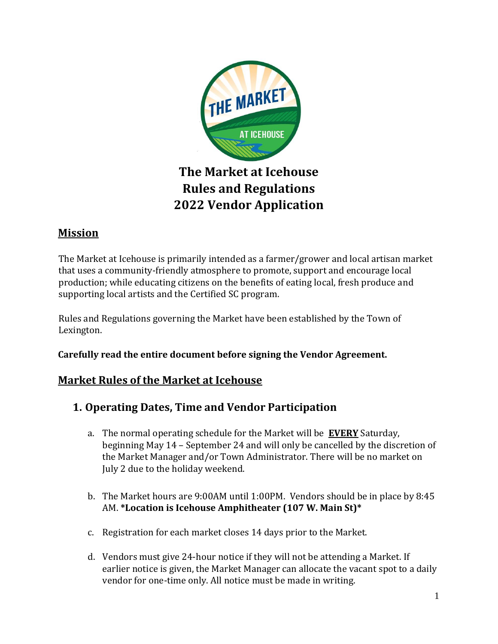

# **The Market at Icehouse Rules and Regulations 2022 Vendor Application**

# **Mission**

The Market at Icehouse is primarily intended as a farmer/grower and local artisan market that uses a community-friendly atmosphere to promote, support and encourage local production; while educating citizens on the benefits of eating local, fresh produce and supporting local artists and the Certified SC program.

Rules and Regulations governing the Market have been established by the Town of Lexington.

**Carefully read the entire document before signing the Vendor Agreement.** 

### **Market Rules of the Market at Icehouse**

- **1. Operating Dates, Time and Vendor Participation** 
	- a. The normal operating schedule for the Market will be **EVERY** Saturday, beginning May 14 – September 24 and will only be cancelled by the discretion of the Market Manager and/or Town Administrator. There will be no market on July 2 due to the holiday weekend.
	- b. The Market hours are 9:00AM until 1:00PM. Vendors should be in place by 8:45 AM. **\*Location is Icehouse Amphitheater (107 W. Main St)\***
	- c. Registration for each market closes 14 days prior to the Market.
	- d. Vendors must give 24-hour notice if they will not be attending a Market. If earlier notice is given, the Market Manager can allocate the vacant spot to a daily vendor for one-time only. All notice must be made in writing.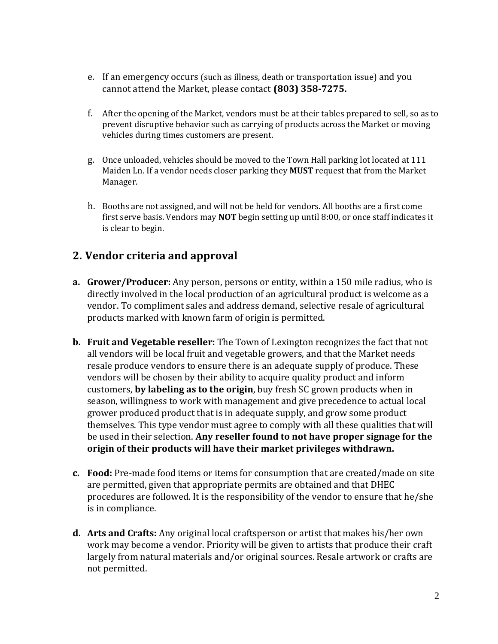- e. If an emergency occurs (such as illness, death or transportation issue) and you cannot attend the Market, please contact **(803) 358-7275.**
- f. After the opening of the Market, vendors must be at their tables prepared to sell, so as to prevent disruptive behavior such as carrying of products across the Market or moving vehicles during times customers are present.
- g. Once unloaded, vehicles should be moved to the Town Hall parking lot located at 111 Maiden Ln. If a vendor needs closer parking they **MUST** request that from the Market Manager.
- h. Booths are not assigned, and will not be held for vendors. All booths are a first come first serve basis. Vendors may **NOT** begin setting up until 8:00, or once staff indicates it is clear to begin.

## **2. Vendor criteria and approval**

- **a. Grower/Producer:** Any person, persons or entity, within a 150 mile radius, who is directly involved in the local production of an agricultural product is welcome as a vendor. To compliment sales and address demand, selective resale of agricultural products marked with known farm of origin is permitted.
- **b. Fruit and Vegetable reseller:** The Town of Lexington recognizes the fact that not all vendors will be local fruit and vegetable growers, and that the Market needs resale produce vendors to ensure there is an adequate supply of produce. These vendors will be chosen by their ability to acquire quality product and inform customers, **by labeling as to the origin**, buy fresh SC grown products when in season, willingness to work with management and give precedence to actual local grower produced product that is in adequate supply, and grow some product themselves. This type vendor must agree to comply with all these qualities that will be used in their selection. **Any reseller found to not have proper signage for the origin of their products will have their market privileges withdrawn.**
- **c. Food:** Pre-made food items or items for consumption that are created/made on site are permitted, given that appropriate permits are obtained and that DHEC procedures are followed. It is the responsibility of the vendor to ensure that he/she is in compliance.
- **d. Arts and Crafts:** Any original local craftsperson or artist that makes his/her own work may become a vendor. Priority will be given to artists that produce their craft largely from natural materials and/or original sources. Resale artwork or crafts are not permitted.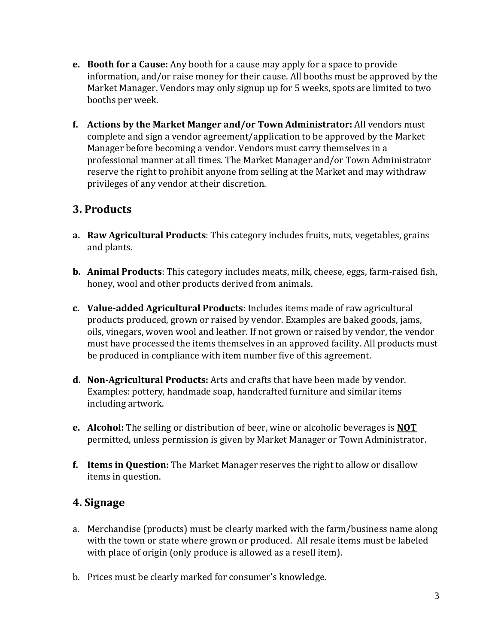- **e. Booth for a Cause:** Any booth for a cause may apply for a space to provide information, and/or raise money for their cause. All booths must be approved by the Market Manager. Vendors may only signup up for 5 weeks, spots are limited to two booths per week.
- **f. Actions by the Market Manger and/or Town Administrator:** All vendors must complete and sign a vendor agreement/application to be approved by the Market Manager before becoming a vendor. Vendors must carry themselves in a professional manner at all times. The Market Manager and/or Town Administrator reserve the right to prohibit anyone from selling at the Market and may withdraw privileges of any vendor at their discretion.

## **3. Products**

- **a. Raw Agricultural Products**: This category includes fruits, nuts, vegetables, grains and plants.
- **b. Animal Products**: This category includes meats, milk, cheese, eggs, farm-raised fish, honey, wool and other products derived from animals.
- **c. Value-added Agricultural Products**: Includes items made of raw agricultural products produced, grown or raised by vendor. Examples are baked goods, jams, oils, vinegars, woven wool and leather. If not grown or raised by vendor, the vendor must have processed the items themselves in an approved facility. All products must be produced in compliance with item number five of this agreement.
- **d. Non-Agricultural Products:** Arts and crafts that have been made by vendor. Examples: pottery, handmade soap, handcrafted furniture and similar items including artwork.
- **e. Alcohol:** The selling or distribution of beer, wine or alcoholic beverages is **NOT** permitted, unless permission is given by Market Manager or Town Administrator.
- **f. Items in Question:** The Market Manager reserves the right to allow or disallow items in question.

### **4. Signage**

- a. Merchandise (products) must be clearly marked with the farm/business name along with the town or state where grown or produced. All resale items must be labeled with place of origin (only produce is allowed as a resell item).
- b. Prices must be clearly marked for consumer's knowledge.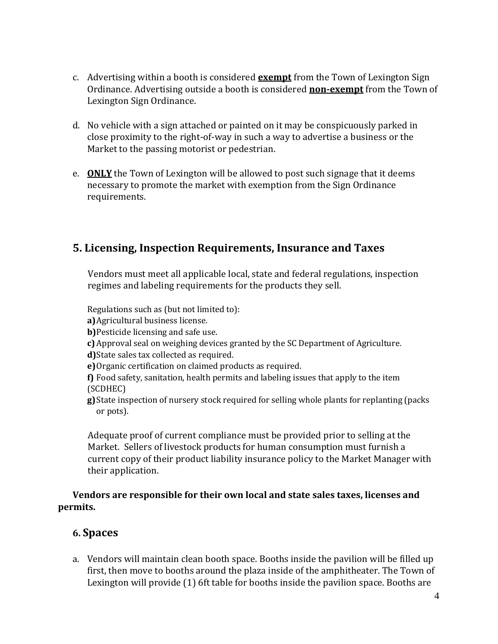- c. Advertising within a booth is considered **exempt** from the Town of Lexington Sign Ordinance. Advertising outside a booth is considered **non-exempt** from the Town of Lexington Sign Ordinance.
- d. No vehicle with a sign attached or painted on it may be conspicuously parked in close proximity to the right-of-way in such a way to advertise a business or the Market to the passing motorist or pedestrian.
- e. **ONLY** the Town of Lexington will be allowed to post such signage that it deems necessary to promote the market with exemption from the Sign Ordinance requirements.

### **5. Licensing, Inspection Requirements, Insurance and Taxes**

Vendors must meet all applicable local, state and federal regulations, inspection regimes and labeling requirements for the products they sell.

Regulations such as (but not limited to):

**a)**Agricultural business license.

**b)**Pesticide licensing and safe use.

**c)** Approval seal on weighing devices granted by the SC Department of Agriculture.

**d)**State sales tax collected as required.

**e)**Organic certification on claimed products as required.

**f)** Food safety, sanitation, health permits and labeling issues that apply to the item (SCDHEC)

**g)**State inspection of nursery stock required for selling whole plants for replanting (packs or pots).

Adequate proof of current compliance must be provided prior to selling at the Market. Sellers of livestock products for human consumption must furnish a current copy of their product liability insurance policy to the Market Manager with their application.

#### **Vendors are responsible for their own local and state sales taxes, licenses and permits.**

### **6. Spaces**

a. Vendors will maintain clean booth space. Booths inside the pavilion will be filled up first, then move to booths around the plaza inside of the amphitheater. The Town of Lexington will provide (1) 6ft table for booths inside the pavilion space. Booths are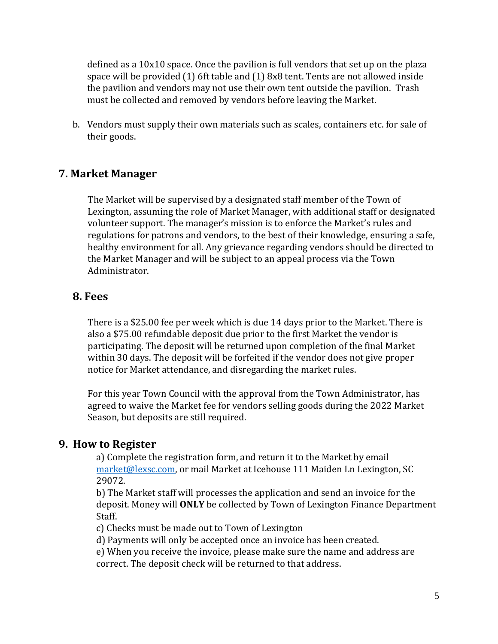defined as a 10x10 space. Once the pavilion is full vendors that set up on the plaza space will be provided (1) 6ft table and (1) 8x8 tent. Tents are not allowed inside the pavilion and vendors may not use their own tent outside the pavilion. Trash must be collected and removed by vendors before leaving the Market.

b. Vendors must supply their own materials such as scales, containers etc. for sale of their goods.

#### **7. Market Manager**

The Market will be supervised by a designated staff member of the Town of Lexington, assuming the role of Market Manager, with additional staff or designated volunteer support. The manager's mission is to enforce the Market's rules and regulations for patrons and vendors, to the best of their knowledge, ensuring a safe, healthy environment for all. Any grievance regarding vendors should be directed to the Market Manager and will be subject to an appeal process via the Town Administrator.

#### **8. Fees**

There is a \$25.00 fee per week which is due 14 days prior to the Market. There is also a \$75.00 refundable deposit due prior to the first Market the vendor is participating. The deposit will be returned upon completion of the final Market within 30 days. The deposit will be forfeited if the vendor does not give proper notice for Market attendance, and disregarding the market rules.

For this year Town Council with the approval from the Town Administrator, has agreed to waive the Market fee for vendors selling goods during the 2022 Market Season, but deposits are still required.

#### **9. How to Register**

a) Complete the registration form, and return it to the Market by email [market@lexsc.com,](mailto:market@lexsc.com) or mail Market at Icehouse 111 Maiden Ln Lexington, SC 29072.

b) The Market staff will processes the application and send an invoice for the deposit. Money will **ONLY** be collected by Town of Lexington Finance Department Staff.

c) Checks must be made out to Town of Lexington

d) Payments will only be accepted once an invoice has been created.

e) When you receive the invoice, please make sure the name and address are correct. The deposit check will be returned to that address.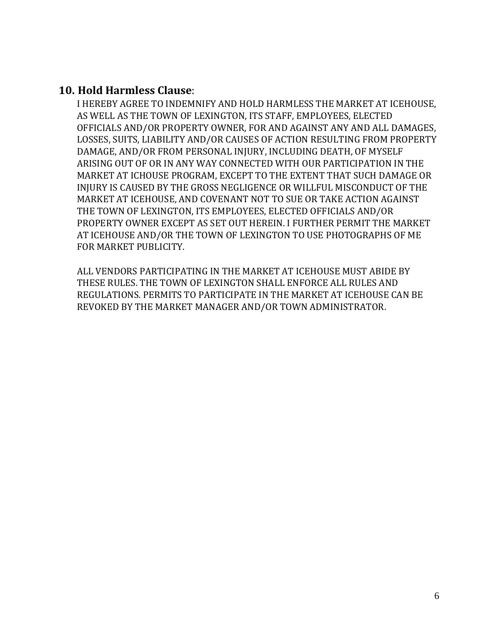#### **10. Hold Harmless Clause**:

I HEREBY AGREE TO INDEMNIFY AND HOLD HARMLESS THE MARKET AT ICEHOUSE, AS WELL AS THE TOWN OF LEXINGTON, ITS STAFF, EMPLOYEES, ELECTED OFFICIALS AND/OR PROPERTY OWNER, FOR AND AGAINST ANY AND ALL DAMAGES, LOSSES, SUITS, LIABILITY AND/OR CAUSES OF ACTION RESULTING FROM PROPERTY DAMAGE, AND/OR FROM PERSONAL INJURY, INCLUDING DEATH, OF MYSELF ARISING OUT OF OR IN ANY WAY CONNECTED WITH OUR PARTICIPATION IN THE MARKET AT ICHOUSE PROGRAM, EXCEPT TO THE EXTENT THAT SUCH DAMAGE OR INJURY IS CAUSED BY THE GROSS NEGLIGENCE OR WILLFUL MISCONDUCT OF THE MARKET AT ICEHOUSE, AND COVENANT NOT TO SUE OR TAKE ACTION AGAINST THE TOWN OF LEXINGTON, ITS EMPLOYEES, ELECTED OFFICIALS AND/OR PROPERTY OWNER EXCEPT AS SET OUT HEREIN. I FURTHER PERMIT THE MARKET AT ICEHOUSE AND/OR THE TOWN OF LEXINGTON TO USE PHOTOGRAPHS OF ME FOR MARKET PUBLICITY.

ALL VENDORS PARTICIPATING IN THE MARKET AT ICEHOUSE MUST ABIDE BY THESE RULES. THE TOWN OF LEXINGTON SHALL ENFORCE ALL RULES AND REGULATIONS. PERMITS TO PARTICIPATE IN THE MARKET AT ICEHOUSE CAN BE REVOKED BY THE MARKET MANAGER AND/OR TOWN ADMINISTRATOR.